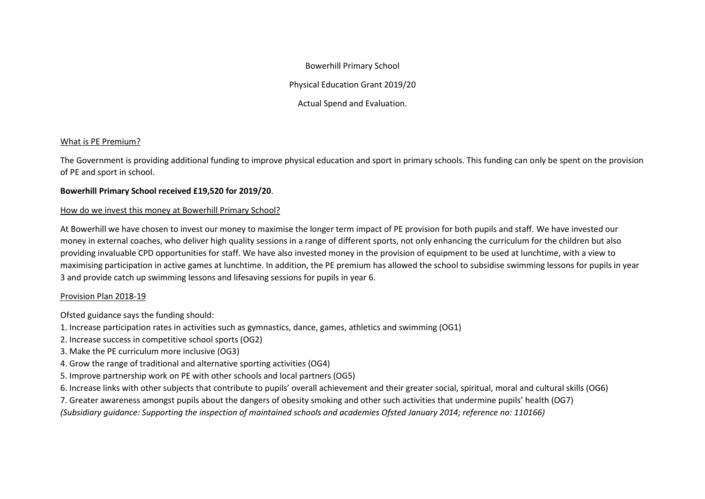Bowerhill Primary School

Physical Education Grant 2019/20

Actual Spend and Evaluation.

## What is PE Premium?

The Government is providing additional funding to improve physical education and sport in primary schools. This funding can only be spent on the provision of PE and sport in school.

## **Bowerhill Primary School received £19,520 for 2019/20**.

## How do we invest this money at Bowerhill Primary School?

At Bowerhill we have chosen to invest our money to maximise the longer term impact of PE provision for both pupils and staff. We have invested our money in external coaches, who deliver high quality sessions in a range of different sports, not only enhancing the curriculum for the children but also providing invaluable CPD opportunities for staff. We have also invested money in the provision of equipment to be used at lunchtime, with a view to maximising participation in active games at lunchtime. In addition, the PE premium has allowed the school to subsidise swimming lessons for pupils in year 3 and provide catch up swimming lessons and lifesaving sessions for pupils in year 6.

## Provision Plan 2018-19

Ofsted guidance says the funding should:

- 1. Increase participation rates in activities such as gymnastics, dance, games, athletics and swimming (OG1)
- 2. Increase success in competitive school sports (OG2)
- 3. Make the PE curriculum more inclusive (OG3)
- 4. Grow the range of traditional and alternative sporting activities (OG4)
- 5. Improve partnership work on PE with other schools and local partners (OG5)
- 6. Increase links with other subjects that contribute to pupils' overall achievement and their greater social, spiritual, moral and cultural skills (OG6)
- 7. Greater awareness amongst pupils about the dangers of obesity smoking and other such activities that undermine pupils' health (OG7)
- *(Subsidiary guidance: Supporting the inspection of maintained schools and academies Ofsted January 2014; reference no: 110166)*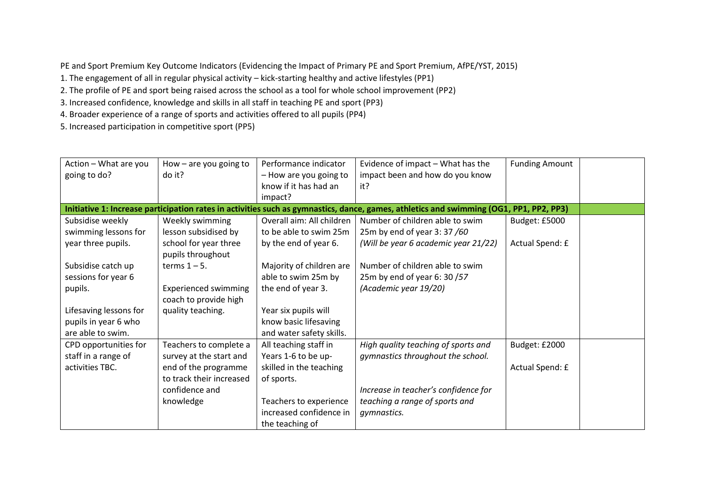PE and Sport Premium Key Outcome Indicators (Evidencing the Impact of Primary PE and Sport Premium, AfPE/YST, 2015)

1. The engagement of all in regular physical activity – kick-starting healthy and active lifestyles (PP1)

2. The profile of PE and sport being raised across the school as a tool for whole school improvement (PP2)

3. Increased confidence, knowledge and skills in all staff in teaching PE and sport (PP3)

4. Broader experience of a range of sports and activities offered to all pupils (PP4)

5. Increased participation in competitive sport (PP5)

| Action - What are you  | How $-$ are you going to    | Performance indicator     | Evidence of impact - What has the                                                                                                      | <b>Funding Amount</b> |  |
|------------------------|-----------------------------|---------------------------|----------------------------------------------------------------------------------------------------------------------------------------|-----------------------|--|
| going to do?           | do it?                      | - How are you going to    | impact been and how do you know                                                                                                        |                       |  |
|                        |                             | know if it has had an     | it?                                                                                                                                    |                       |  |
|                        |                             | impact?                   |                                                                                                                                        |                       |  |
|                        |                             |                           | Initiative 1: Increase participation rates in activities such as gymnastics, dance, games, athletics and swimming (OG1, PP1, PP2, PP3) |                       |  |
| Subsidise weekly       | Weekly swimming             | Overall aim: All children | Number of children able to swim                                                                                                        | Budget: £5000         |  |
| swimming lessons for   | lesson subsidised by        | to be able to swim 25m    | 25m by end of year 3:37/60                                                                                                             |                       |  |
| year three pupils.     | school for year three       | by the end of year 6.     | (Will be year 6 academic year 21/22)                                                                                                   | Actual Spend: £       |  |
|                        | pupils throughout           |                           |                                                                                                                                        |                       |  |
| Subsidise catch up     | terms $1 - 5$ .             | Majority of children are  | Number of children able to swim                                                                                                        |                       |  |
| sessions for year 6    |                             | able to swim 25m by       | 25m by end of year 6: 30 /57                                                                                                           |                       |  |
| pupils.                | <b>Experienced swimming</b> | the end of year 3.        | (Academic year 19/20)                                                                                                                  |                       |  |
|                        | coach to provide high       |                           |                                                                                                                                        |                       |  |
| Lifesaving lessons for | quality teaching.           | Year six pupils will      |                                                                                                                                        |                       |  |
| pupils in year 6 who   |                             | know basic lifesaving     |                                                                                                                                        |                       |  |
| are able to swim.      |                             | and water safety skills.  |                                                                                                                                        |                       |  |
| CPD opportunities for  | Teachers to complete a      | All teaching staff in     | High quality teaching of sports and                                                                                                    | Budget: £2000         |  |
| staff in a range of    | survey at the start and     | Years 1-6 to be up-       | gymnastics throughout the school.                                                                                                      |                       |  |
| activities TBC.        | end of the programme        | skilled in the teaching   |                                                                                                                                        | Actual Spend: £       |  |
|                        | to track their increased    | of sports.                |                                                                                                                                        |                       |  |
|                        | confidence and              |                           | Increase in teacher's confidence for                                                                                                   |                       |  |
|                        | knowledge                   | Teachers to experience    | teaching a range of sports and                                                                                                         |                       |  |
|                        |                             | increased confidence in   | gymnastics.                                                                                                                            |                       |  |
|                        |                             | the teaching of           |                                                                                                                                        |                       |  |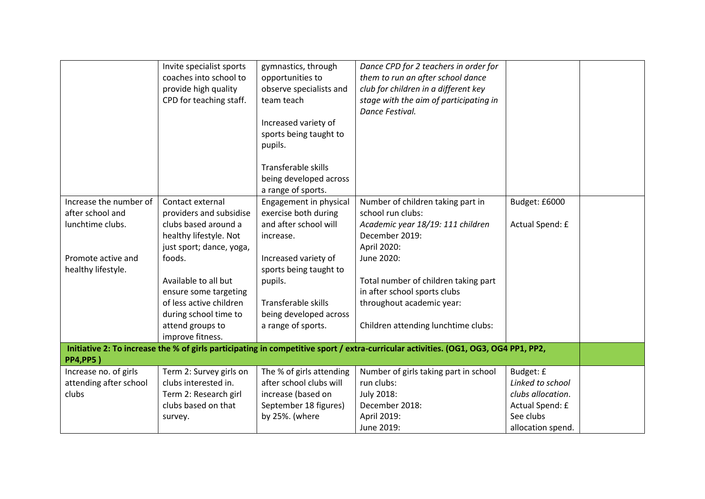|                                                                                                                                                         | Invite specialist sports<br>coaches into school to<br>provide high quality<br>CPD for teaching staff. | gymnastics, through<br>opportunities to<br>observe specialists and<br>team teach<br>Increased variety of | Dance CPD for 2 teachers in order for<br>them to run an after school dance<br>club for children in a different key<br>stage with the aim of participating in<br>Dance Festival. |                   |  |
|---------------------------------------------------------------------------------------------------------------------------------------------------------|-------------------------------------------------------------------------------------------------------|----------------------------------------------------------------------------------------------------------|---------------------------------------------------------------------------------------------------------------------------------------------------------------------------------|-------------------|--|
|                                                                                                                                                         |                                                                                                       | sports being taught to<br>pupils.                                                                        |                                                                                                                                                                                 |                   |  |
|                                                                                                                                                         |                                                                                                       | Transferable skills<br>being developed across<br>a range of sports.                                      |                                                                                                                                                                                 |                   |  |
| Increase the number of<br>after school and                                                                                                              | Contact external<br>providers and subsidise                                                           | Engagement in physical<br>exercise both during                                                           | Number of children taking part in<br>school run clubs:                                                                                                                          | Budget: £6000     |  |
| lunchtime clubs.                                                                                                                                        | clubs based around a<br>healthy lifestyle. Not<br>just sport; dance, yoga,                            | and after school will<br>increase.                                                                       | Academic year 18/19: 111 children<br>December 2019:<br>April 2020:                                                                                                              | Actual Spend: £   |  |
| Promote active and<br>healthy lifestyle.                                                                                                                | foods.                                                                                                | Increased variety of<br>sports being taught to                                                           | June 2020:                                                                                                                                                                      |                   |  |
|                                                                                                                                                         | Available to all but<br>ensure some targeting                                                         | pupils.                                                                                                  | Total number of children taking part<br>in after school sports clubs                                                                                                            |                   |  |
|                                                                                                                                                         | of less active children<br>during school time to                                                      | Transferable skills<br>being developed across                                                            | throughout academic year:                                                                                                                                                       |                   |  |
|                                                                                                                                                         | attend groups to<br>improve fitness.                                                                  | a range of sports.                                                                                       | Children attending lunchtime clubs:                                                                                                                                             |                   |  |
| Initiative 2: To increase the % of girls participating in competitive sport / extra-curricular activities. (OG1, OG3, OG4 PP1, PP2,<br><b>PP4,PP5</b> ) |                                                                                                       |                                                                                                          |                                                                                                                                                                                 |                   |  |
| Increase no. of girls                                                                                                                                   | Term 2: Survey girls on                                                                               | The % of girls attending                                                                                 | Number of girls taking part in school                                                                                                                                           | Budget: £         |  |
| attending after school                                                                                                                                  | clubs interested in.                                                                                  | after school clubs will                                                                                  | run clubs:                                                                                                                                                                      | Linked to school  |  |
| clubs                                                                                                                                                   | Term 2: Research girl                                                                                 | increase (based on                                                                                       | July 2018:                                                                                                                                                                      | clubs allocation. |  |
|                                                                                                                                                         | clubs based on that                                                                                   | September 18 figures)                                                                                    | December 2018:                                                                                                                                                                  | Actual Spend: £   |  |
|                                                                                                                                                         | survey.                                                                                               | by 25%. (where                                                                                           | April 2019:                                                                                                                                                                     | See clubs         |  |
|                                                                                                                                                         |                                                                                                       |                                                                                                          | June 2019:                                                                                                                                                                      | allocation spend. |  |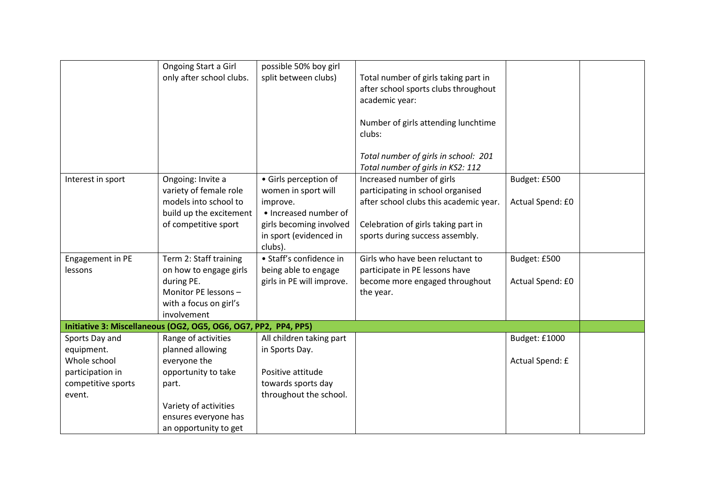|                    | Ongoing Start a Girl                                            | possible 50% boy girl     |                                        |                  |  |
|--------------------|-----------------------------------------------------------------|---------------------------|----------------------------------------|------------------|--|
|                    | only after school clubs.                                        | split between clubs)      | Total number of girls taking part in   |                  |  |
|                    |                                                                 |                           | after school sports clubs throughout   |                  |  |
|                    |                                                                 |                           | academic year:                         |                  |  |
|                    |                                                                 |                           |                                        |                  |  |
|                    |                                                                 |                           | Number of girls attending lunchtime    |                  |  |
|                    |                                                                 |                           | clubs:                                 |                  |  |
|                    |                                                                 |                           |                                        |                  |  |
|                    |                                                                 |                           | Total number of girls in school: 201   |                  |  |
|                    |                                                                 |                           | Total number of girls in KS2: 112      |                  |  |
| Interest in sport  | Ongoing: Invite a                                               | · Girls perception of     | Increased number of girls              | Budget: £500     |  |
|                    | variety of female role                                          | women in sport will       | participating in school organised      |                  |  |
|                    | models into school to                                           | improve.                  | after school clubs this academic year. | Actual Spend: £0 |  |
|                    | build up the excitement                                         | • Increased number of     |                                        |                  |  |
|                    | of competitive sport                                            | girls becoming involved   | Celebration of girls taking part in    |                  |  |
|                    |                                                                 | in sport (evidenced in    | sports during success assembly.        |                  |  |
|                    |                                                                 | clubs).                   |                                        |                  |  |
| Engagement in PE   | Term 2: Staff training                                          | • Staff's confidence in   | Girls who have been reluctant to       | Budget: £500     |  |
| lessons            | on how to engage girls                                          | being able to engage      | participate in PE lessons have         |                  |  |
|                    | during PE.                                                      | girls in PE will improve. | become more engaged throughout         | Actual Spend: £0 |  |
|                    | Monitor PE lessons -                                            |                           | the year.                              |                  |  |
|                    | with a focus on girl's                                          |                           |                                        |                  |  |
|                    | involvement                                                     |                           |                                        |                  |  |
|                    | Initiative 3: Miscellaneous (OG2, OG5, OG6, OG7, PP2, PP4, PP5) |                           |                                        |                  |  |
| Sports Day and     | Range of activities                                             | All children taking part  |                                        | Budget: £1000    |  |
| equipment.         | planned allowing                                                | in Sports Day.            |                                        |                  |  |
| Whole school       | everyone the                                                    |                           |                                        | Actual Spend: £  |  |
| participation in   | opportunity to take                                             | Positive attitude         |                                        |                  |  |
| competitive sports | part.                                                           | towards sports day        |                                        |                  |  |
| event.             |                                                                 | throughout the school.    |                                        |                  |  |
|                    | Variety of activities                                           |                           |                                        |                  |  |
|                    | ensures everyone has                                            |                           |                                        |                  |  |
|                    | an opportunity to get                                           |                           |                                        |                  |  |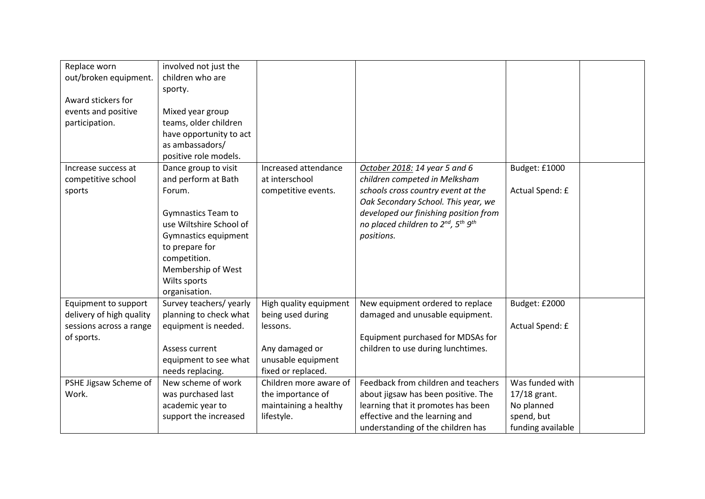| Replace worn<br>out/broken equipment.<br>Award stickers for<br>events and positive<br>participation. | involved not just the<br>children who are<br>sporty.<br>Mixed year group<br>teams, older children<br>have opportunity to act<br>as ambassadors/<br>positive role models.                                                       |                                                                                                                       |                                                                                                                                                                                                                                                                  |                                                                                  |  |
|------------------------------------------------------------------------------------------------------|--------------------------------------------------------------------------------------------------------------------------------------------------------------------------------------------------------------------------------|-----------------------------------------------------------------------------------------------------------------------|------------------------------------------------------------------------------------------------------------------------------------------------------------------------------------------------------------------------------------------------------------------|----------------------------------------------------------------------------------|--|
| Increase success at<br>competitive school<br>sports                                                  | Dance group to visit<br>and perform at Bath<br>Forum.<br><b>Gymnastics Team to</b><br>use Wiltshire School of<br>Gymnastics equipment<br>to prepare for<br>competition.<br>Membership of West<br>Wilts sports<br>organisation. | Increased attendance<br>at interschool<br>competitive events.                                                         | October 2018: 14 year 5 and 6<br>children competed in Melksham<br>schools cross country event at the<br>Oak Secondary School. This year, we<br>developed our finishing position from<br>no placed children to 2nd, 5 <sup>th</sup> 9 <sup>th</sup><br>positions. | Budget: £1000<br>Actual Spend: £                                                 |  |
| Equipment to support<br>delivery of high quality<br>sessions across a range<br>of sports.            | Survey teachers/ yearly<br>planning to check what<br>equipment is needed.<br>Assess current<br>equipment to see what<br>needs replacing.                                                                                       | High quality equipment<br>being used during<br>lessons.<br>Any damaged or<br>unusable equipment<br>fixed or replaced. | New equipment ordered to replace<br>damaged and unusable equipment.<br>Equipment purchased for MDSAs for<br>children to use during lunchtimes.                                                                                                                   | Budget: £2000<br>Actual Spend: £                                                 |  |
| PSHE Jigsaw Scheme of<br>Work.                                                                       | New scheme of work<br>was purchased last<br>academic year to<br>support the increased                                                                                                                                          | Children more aware of<br>the importance of<br>maintaining a healthy<br>lifestyle.                                    | Feedback from children and teachers<br>about jigsaw has been positive. The<br>learning that it promotes has been<br>effective and the learning and<br>understanding of the children has                                                                          | Was funded with<br>17/18 grant.<br>No planned<br>spend, but<br>funding available |  |